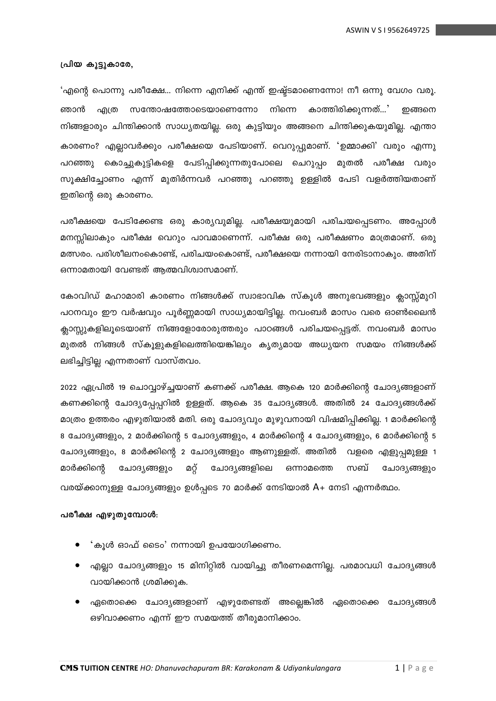#### പ്രിയ കൂട്ടുകാരേ,

'എന്റെ പൊന്നു പരീക്ഷേ... നിന്നെ എനിക്ക് എന്ത് ഇഷ്ട്ടമാണെന്നോ! നീ ഒന്നു വേഗം വരൂ. ഞാൻ .എത്ര സന്തോഷത്തോടെയാണെന്നോ നിന്നെ കാത്തിരിക്കുന്നത്...' ഇങ്ങനെ നിങ്ങളാരും ചിന്തിക്കാൻ സാധ്യതയില്ല. ഒരു കുട്ടിയും അങ്ങനെ ചിന്തിക്കുകയുമില്ല. എന്താ കാരണം? എല്ലാവർക്കും പരീക്ഷയെ പേടിയാണ്. വെറുപ്പുമാണ്. 'ഉമ്മാക്കി' വരും എന്നു പറഞ്ഞു കൊച്ചുകുട്ടികളെ പേടിപ്പിക്കുന്നതുപോലെ ചെറുപ്പം മുതൽ പരീക്ഷ വരും സൂക്ഷിച്ചോണം എന്ന് മുതിർന്നവർ പറഞ്ഞു പറഞ്ഞു ഉള്ളിൽ പേടി വളർത്തിയതാണ് ഇതിന്റെ ഒരു കാരണം.

പരീക്ഷയെ പേടിക്കേണ്ട ഒരു കാര്യവുമില്ല. പരീക്ഷയുമായി പരിചയപ്പെടണം. അപ്പോൾ മനസ്സിലാകും പരീക്ഷ വെറും പാവമാണെന്ന്. പരീക്ഷ ഒരു പരീക്ഷണം മാത്രമാണ്. ഒരു മത്സരം. പരിശീലനംകൊണ്ട്, പരിചയംകൊണ്ട്, പരീക്ഷയെ നന്നായി നേരിടാനാകും. അതിന് ഒന്നാമതായി വേണ്ടത് ആത്മവിശ്വാസമാണ്.

കോവിഡ് മഹാമാരി കാരണം നിങ്ങൾക്ക് സ്വാഭാവിക സ്കൂൾ അനുഭവങ്ങളും കാസ്റ്റ്മൂറി പഠനവും ഈ വർഷവും പൂർണ്ണമായി സാധ്യമായിട്ടില്ല. നവംബർ മാസം വരെ ഓൺലൈൻ ക്ലാസ്സുകളിലൂടെയാണ് നിങ്ങളോരോരുത്തരും പാഠങ്ങൾ പരിചയപ്പെട്ടത്. നവംബർ മാസം മുതൽ നിങ്ങൾ സ്കൂളുകളിലെത്തിയെങ്കിലും കൃത്യമായ അധ്യയന സമയം നിങ്ങൾക്ക് ലഭിച്ചിട്ടില്ല എന്നതാണ് വാസ്തവം.

2022 ഏപ്രിൽ 19 ചൊവ്വാഴ്ച്ചയാണ് കണക്ക് പരീക്ഷ. ആകെ 120 മാർക്കിന്റെ ചോദ്യങ്ങളാണ് കണക്കിന്റെ ചോദ്യപ്പേപ്പറിൽ ഉള്ളത്. ആകെ 35 ചോദ്യങ്ങൾ. അതിൽ 24 ചോദ്യങ്ങൾക്ക് മാത്രം ഉത്തരം എഴുതിയാൽ മതി. ഒരു ചോദ്യവും മുഴുവനായി വിഷമിപ്പിക്കില്ല. 1 മാർക്കിന്റെ 8 ചോദ്യങ്ങളും, 2 മാർക്കിന്റെ 5 ചോദ്യങ്ങളും, 4 മാർക്കിന്റെ 4 ചോദ്യങ്ങളും, 6 മാർക്കിന്റെ 5 ചോദ്യങ്ങളും, 8 മാർക്കിന്റെ 2 ചോദ്യങ്ങളും ആണുള്ളത്. അതിൽ വളരെ എളുപ്പമുള്ള 1 മാർക്കിന്റെ ചോദ്യങ്ങളും മറ്റ് ചോദ്യങ്ങളിലെ ഒന്നാമത്തെ സബ് ചോദ്യങ്ങളും വരയ്ക്കാനുള്ള ചോദ്യങ്ങളും ഉൾപ്പടെ 70 മാർക്ക് നേടിയാൽ A+ നേടി എന്നർത്ഥം.

#### പരീക്ഷ എഴുതുമ്പോൾ:

- 'കൂൾ ഓഫ് ടൈം' നന്നായി ഉപയോഗിക്കണം.
- എല്ലാ ചോദ്യങ്ങളും 15 മിനിറ്റിൽ വായിച്ചു തീരണമെന്നില്ല. പരമാവധി ചോദ്യങ്ങൾ വായിക്കാൻ ശ്രമിക്കുക.
- ഏതൊക്കെ ചോദ്യങ്ങളാണ് എഴുതേണ്ടത് അല്ലെങ്കിൽ ഏതൊക്കെ ചോദ്യങ്ങൾ ഒഴിവാക്കണം എന്ന് ഈ സമയത്ത് തീരുമാനിക്കാം.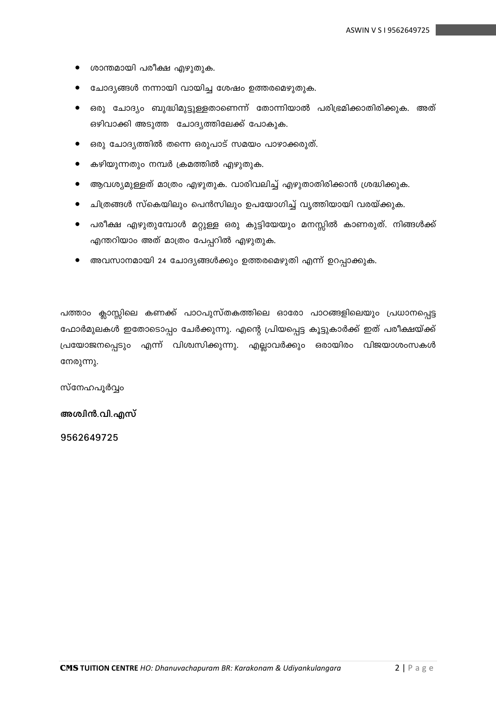- ശാന്തമായി പരീക്ഷ എഴുതുക.
- ചോദ്യങ്ങൾ നന്നായി വായിച്ച ശേഷം ഉത്തരമെഴുതുക.
- ഒരു ചോദ്യം ബുദ്ധിമുട്ടുള്ളതാണെന്ന് തോന്നിയാൽ പരിഭ്രമിക്കാതിരിക്കുക. അത്  $\bullet$ ഒഴിവാക്കി അടുത്ത ചോദ്യത്തിലേക്ക് പോകുക.
- ഒരു ചോദ്യത്തിൽ തന്നെ ഒരുപാട് സമയം പാഴാക്കരുത്.  $\bullet$
- കഴിയുന്നതും നമ്പർ ക്രമത്തിൽ എഴുതുക.  $\bullet$
- ആവശ്യമുള്ളത് മാത്രം എഴുതുക. വാരിവലിച്ച് എഴുതാതിരിക്കാൻ ശ്രദ്ധിക്കുക.
- ചിത്രങ്ങൾ സ്കെയിലും പെൻസിലും ഉപയോഗിച്ച് വൃത്തിയായി വരയ്ക്കുക.
- പരീക്ഷ എഴുതുമ്പോൾ മറ്റുള്ള ഒരു കുട്ടിയേയും മനസ്സിൽ കാണരുത്. നിങ്ങൾക്ക് എന്തറിയാം അത് മാത്രം പേപ്പറിൽ എഴുതുക.
- അവസാനമായി 24 ചോദ്യങ്ങൾക്കും ഉത്തരമെഴുതി എന്ന് ഉറപ്പാക്കുക.

പത്താം ക്ലാസ്സിലെ കണക്ക് പാഠപുസ്തകത്തിലെ ഓരോ പാഠങ്ങളിലെയും പ്രധാനപ്പെട്ട ഫോർമുലകൾ ഇതോടൊപ്പം ചേർക്കുന്നു. എന്റെ പ്രിയപ്പെട്ട കൂട്ടുകാർക്ക് ഇത് പരീക്ഷയ്ക്ക് പ്രയോജനപ്പെടും എന്ന് വിശ്വസിക്കുന്നു. എല്ലാവർക്കും ഒരായിരം വിജയാശംസകൾ നേരുന്നു.

സ്നേഹപൂർവ്വം

അശ്വിൻ.വി.എസ്

9562649725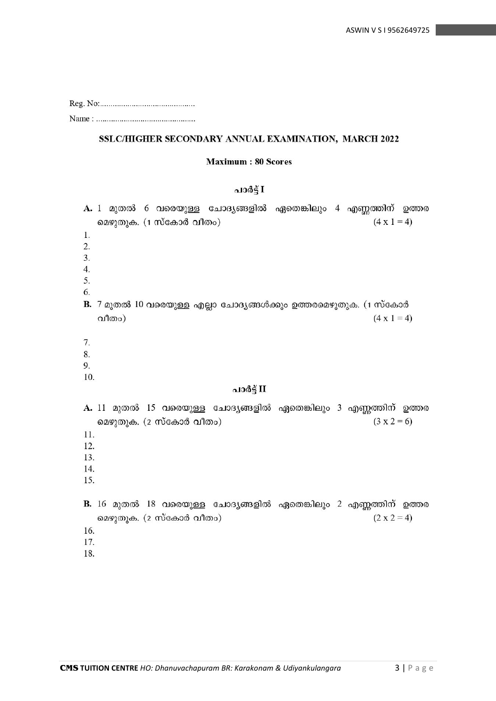#### SSLC/HIGHER SECONDARY ANNUAL EXAMINATION, MARCH 2022

#### **Maximum: 80 Scores**

#### പാർട്ട് I

A. 1 മുതൽ 6 വരെയുള്ള ചോദ്യങ്ങളിൽ ഏതെങ്കിലും 4 എണ്ണത്തിന് ഉത്തര മെഴുതുക. (1 സ്കോർ വീതം)  $(4 \times 1 = 4)$  $\mathbf{1}$ .  $\mathcal{L}$  $\overline{3}$ .  $4.$ 5. 6. B. 7 മുതൽ 10 വരെയുള്ള എല്ലാ ചോദ്യങ്ങൾക്കും ഉത്തരമെഴുതുക. (1 സ്കോർ  $(4 \times 1 = 4)$ വീതം) 7. 8. 9. 10. പാർട്ട് II A. 11 മുതൽ 15 വരെയുള്ള ചോദ്യങ്ങളിൽ ഏതെങ്കിലും 3 എണ്ണത്തിന് ഉത്തര മെഴുതുക. (2 സ്കോർ വീതം)  $(3 x 2=6)$ 11. 12. 13. 14. 15. B. 16 മുതൽ 18 വരെയുള്ള ചോദ്യങ്ങളിൽ ഏതെങ്കിലും 2 എണ്ണത്തിന് ഉത്തര മെഴുതുക. (2 സ്കോർ വീതം)  $(2 x 2 = 4)$ 16. 17. 18.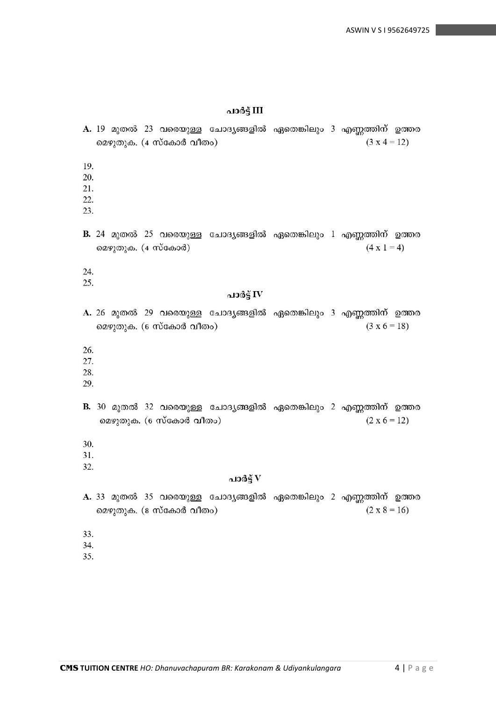പാർട്ട് III

A. 19 മുതൽ 23 വരെയുള്ള ചോദ്യങ്ങളിൽ ഏതെങ്കിലും 3 എണ്ണത്തിന് ഉത്തര മെഴുതുക. (4 സ്കോർ വീതം)  $(3 \times 4 = 12)$ 19. 20. 21. 22. 23. B. 24 മുതൽ 25 വരെയുള്ള ചോദ്യങ്ങളിൽ ഏതെങ്കിലും 1 എണ്ണത്തിന് ഉത്തര മെഴുതുക. (4 സ്കോർ)  $(4 \times 1 = 4)$ 24. 25. പാർട്ട് IV A. 26 മുതൽ 29 വരെയുള്ള ചോദ്യങ്ങളിൽ ഏതെങ്കിലും 3 എണ്ണത്തിന് ഉത്തര  $(3 \times 6 = 18)$ മെഴുതുക. (6 സ്കോർ വീതം) 26. 27. 28. 29. B. 30 മുതൽ 32 വരെയുള്ള ചോദ്യങ്ങളിൽ ഏതെങ്കിലും 2 എണ്ണത്തിന് ഉത്തര മെഴുതുക. (6 സ്കോർ വീതം)  $(2 \times 6 = 12)$ 30. 31. 32. പാർട്ട് $\bf{V}$ A. 33 മുതൽ 35 വരെയുള്ള ചോദ്യങ്ങളിൽ ഏതെങ്കിലും 2 എണ്ണത്തിന് ഉത്തര  $(2 \times 8 = 16)$ മെഴുതുക. (8 സ്കോർ വീതം) 33. 34.

35.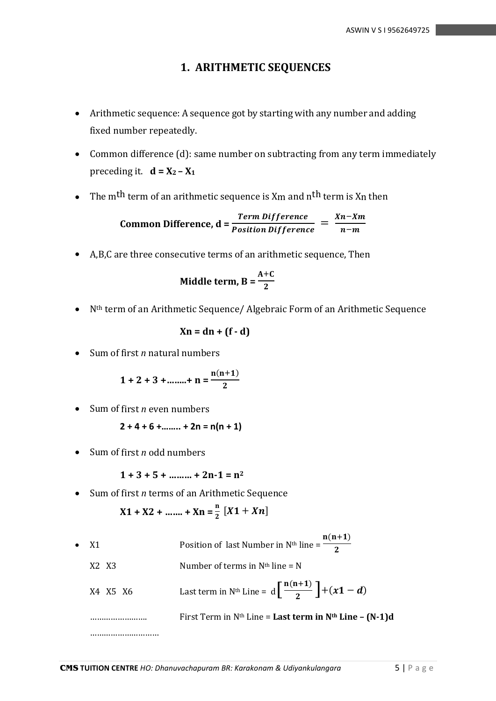## **1. ARITHMETIC SEQUENCES**

- Arithmetic sequence: A sequence got by starting with any number and adding fixed number repeatedly.
- Common difference (d): same number on subtracting from any term immediately preceding it.  $d = X_2 - X_1$
- The m<sup>th</sup> term of an arithmetic sequence is  $X_m$  and  $n<sup>th</sup>$  term is  $X_n$  then

Common Difference, 
$$
d = \frac{Term\ Difference}{Position\ Difference} = \frac{Xn - Xm}{n - m}
$$

• A,B,C are three consecutive terms of an arithmetic sequence, Then

$$
Midble term, B = \frac{A+C}{2}
$$

• Nth term of an Arithmetic Sequence/ Algebraic Form of an Arithmetic Sequence

$$
Xn = dn + (f - d)
$$

• Sum of first *n* natural numbers

$$
1 + 2 + 3 + \dots + n = \frac{n(n+1)}{2}
$$

• Sum of first *n* even numbers

$$
2 + 4 + 6 + \dots + 2n = n(n + 1)
$$

• Sum of first *n* odd numbers

$$
1 + 3 + 5 + \dots + 2n - 1 = n^2
$$

• Sum of first *n* terms of an Arithmetic Sequence

$$
X1 + X2 + \dots + Xn = \frac{n}{2} [X1 + Xn]
$$

•  $X1$  Position of last Number in N<sup>th</sup> line =  $n(n+1)$  $\overline{\mathbf{c}}$  $X2$   $X3$  Number of terms in N<sup>th</sup> line = N X4 X5 X6 Last term in N<sup>th</sup> Line =  $d\left[\frac{n(n+1)}{2}\right]$  $\frac{(n+1)}{2}$  + (x1 – d) ……………………. First Term in Nth Line = **Last term in Nth Line – (N-1)d** ……………………………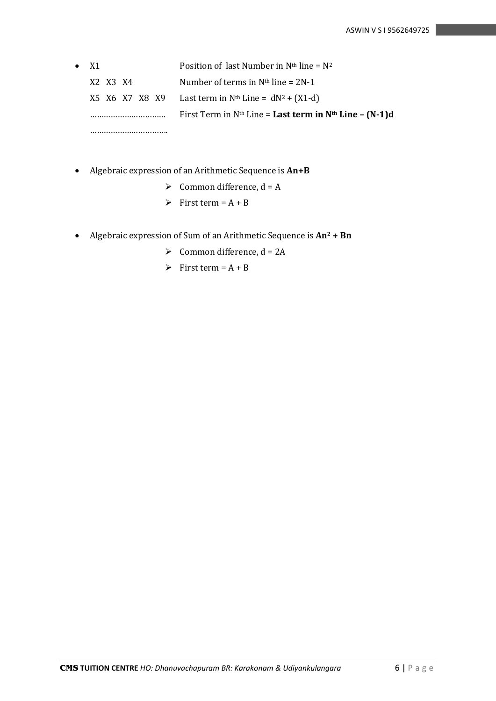• X1 Position of last Number in  $N<sup>th</sup>$  line =  $N<sup>2</sup>$  $X2$   $X3$   $X4$  Number of terms in N<sup>th</sup> line = 2N-1  $X5$  X6 X7 X8 X9 Last term in N<sup>th</sup> Line = dN<sup>2</sup> + (X1-d) …………………………… First Term in Nth Line = **Last term in Nth Line – (N-1)d** …………………………….

- Algebraic expression of an Arithmetic Sequence is **An+B**
	- $\triangleright$  Common difference, d = A
	- $\triangleright$  First term = A + B
- Algebraic expression of Sum of an Arithmetic Sequence is **An<sup>2</sup> + Bn**
	- $\geq$  Common difference, d = 2A
	- $\triangleright$  First term = A + B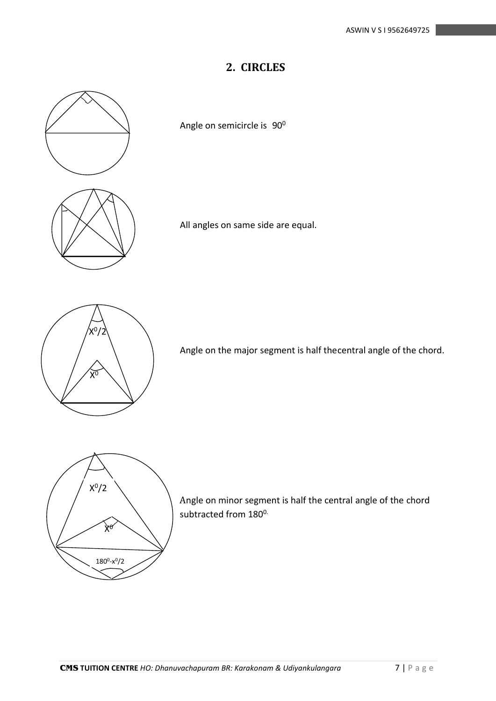# **2. CIRCLES**



Angle on semicircle is 90<sup>0</sup>

All angles on same side are equal.

Angle on the major segment is half the central angle of the chord.



Angle on minor segment is half the central angle of the chord subtracted from 180<sup>0.</sup>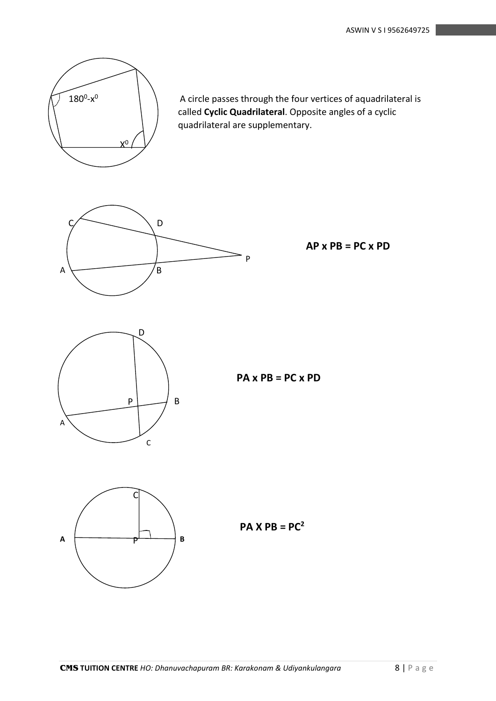

<sup>0</sup> A circle passes through the four vertices of aquadrilateral is called **Cyclic Quadrilateral**. Opposite angles of a cyclic quadrilateral are supplementary.



**AP x PB = PC x PD**



## **PA x PB = PC x PD**



**PA X PB = PC<sup>2</sup>**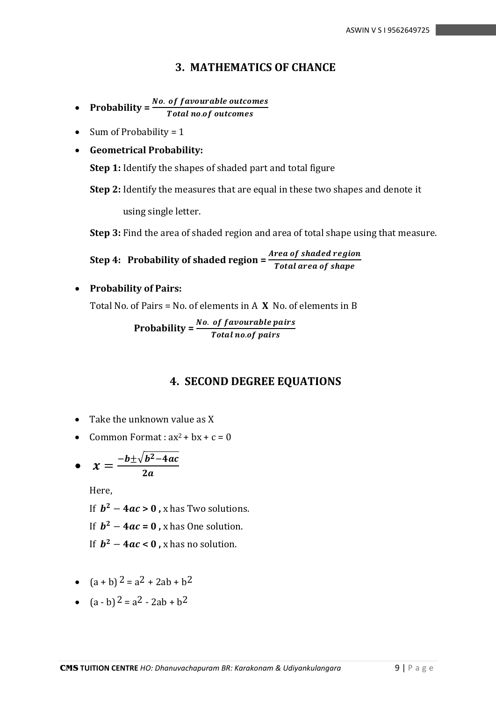### **3. MATHEMATICS OF CHANCE**

- **Probability** =  $\frac{No. \ of \ favourable \ outcomes}{Total \ no. \ of \ outcomes}$
- Sum of Probability =  $1$
- **Geometrical Probability:**

**Step 1:** Identify the shapes of shaded part and total figure

**Step 2:** Identify the measures that are equal in these two shapes and denote it

using single letter.

**Step 3:** Find the area of shaded region and area of total shape using that measure.

**Step 4: Probability of shaded region =**  Total area of shape

• **Probability of Pairs:**

Total No. of Pairs = No. of elements in A **X** No. of elements in B

**Probability =**  $\frac{No. \ of \ favourable \ pairs}{Total \ no. \ of \ pairs}$ 

## **4. SECOND DEGREE EQUATIONS**

- Take the unknown value as X
- Common Format :  $ax^2 + bx + c = 0$

• 
$$
x = \frac{-b \pm \sqrt{b^2 - 4ac}}{2a}
$$

Here,

If  $b^2 - 4ac > 0$ , x has Two solutions.

If  $b^2 - 4ac = 0$ , x has One solution.

If  $b^2 - 4ac < 0$ , x has no solution.

- $(a + b)^2 = a^2 + 2ab + b^2$
- $(a b)^2 = a^2 2ab + b^2$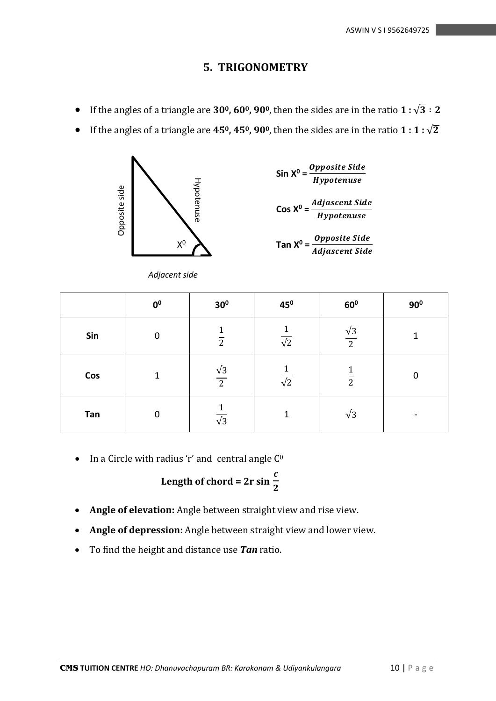### **5. TRIGONOMETRY**

- If the angles of a triangle are  $30^{\circ}$ ,  $60^{\circ}$ ,  $90^{\circ}$ , then the sides are in the ratio  $1:\sqrt{3}:2$
- If the angles of a triangle are  $45^{\circ}$ ,  $45^{\circ}$ ,  $90^{\circ}$ , then the sides are in the ratio  $1:1:\sqrt{2}$



*Adjacent side*

| <b>Opposite Side</b><br>Tan $X^0 = \frac{V}{V}P^2$ |
|----------------------------------------------------|

| Opposite side                                                                                                                                                                        | $\mathsf{X}^0$<br>Adjacent side | Hypotenuse           |                      | <i><b>Hypotenuse</b></i><br>Cos $X^0 = \frac{Adjascent \,Side}{Hypotenuse}$<br>Tan $X^0 = \frac{Opposite \, Side}{Adjascent \,Side}$ |              |
|--------------------------------------------------------------------------------------------------------------------------------------------------------------------------------------|---------------------------------|----------------------|----------------------|--------------------------------------------------------------------------------------------------------------------------------------|--------------|
|                                                                                                                                                                                      | 0 <sup>0</sup>                  | 30 <sup>0</sup>      | 45 <sup>0</sup>      | 60 <sup>0</sup>                                                                                                                      | $90^0$       |
| Sin                                                                                                                                                                                  | $\mathbf 0$                     | $\frac{1}{2}$        | $\frac{1}{\sqrt{2}}$ | $\frac{\sqrt{3}}{2}$                                                                                                                 | $\mathbf{1}$ |
| Cos                                                                                                                                                                                  | $\mathbf 1$                     | $\frac{\sqrt{3}}{2}$ | $\frac{1}{\sqrt{2}}$ | $\frac{1}{2}$                                                                                                                        | $\mathbf 0$  |
| Tan                                                                                                                                                                                  | $\mathbf 0$                     | $\frac{1}{\sqrt{3}}$ | $\mathbf 1$          | $\sqrt{3}$                                                                                                                           |              |
| In a Circle with radius 'r' and central angle C <sup>0</sup><br>Length of chord = $2r \sin \frac{c}{2}$                                                                              |                                 |                      |                      |                                                                                                                                      |              |
| Angle of elevation: Angle between straight view and rise view.<br>Angle of depression: Angle between straight view and lower view.<br>To find the height and distance use Tan ratio. |                                 |                      |                      |                                                                                                                                      |              |

Length of chord = 
$$
2r \sin \frac{c}{2}
$$

- **Angle of elevation:** Angle between straight view and rise view.
- **Angle of depression:** Angle between straight view and lower view.
-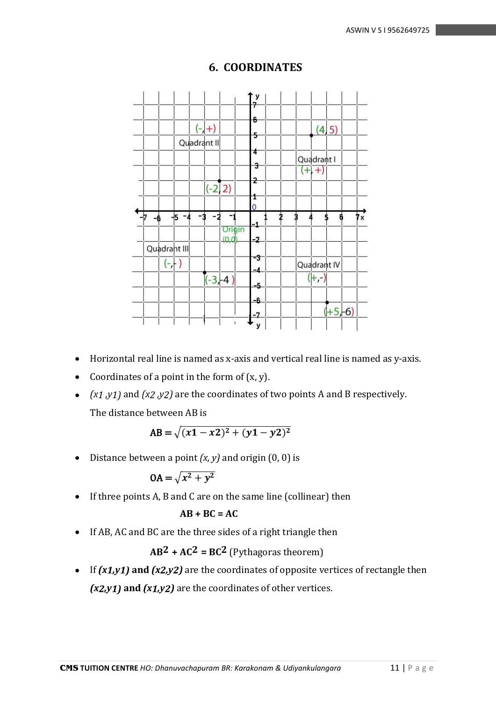

# **6. COORDINATES**

- Horizontal real line is named as x-axis and vertical real line is named as y-axis.
- Coordinates of a point in the form of (x, y).
- *(x1 ,y1)* and *(x2 ,y2)* are the coordinates of two points A and B respectively. The distance between AB is

$$
AB = \sqrt{(x1 - x2)^2 + (y1 - y2)^2}
$$

• Distance between a point *(x, y)* and origin (0, 0) is

$$
OA = \sqrt{x^2 + y^2}
$$

• If three points A, B and C are on the same line (collinear) then

$$
AB + BC = AC
$$

• If AB, AC and BC are the three sides of a right triangle then

 $AB^2 + AC^2 = BC^2$  (Pythagoras theorem)

• If *(x1,y1)* **and** *(x2,y2)* are the coordinates of opposite vertices of rectangle then *(x2,y1)* **and** *(x1,y2)* are the coordinates of other vertices.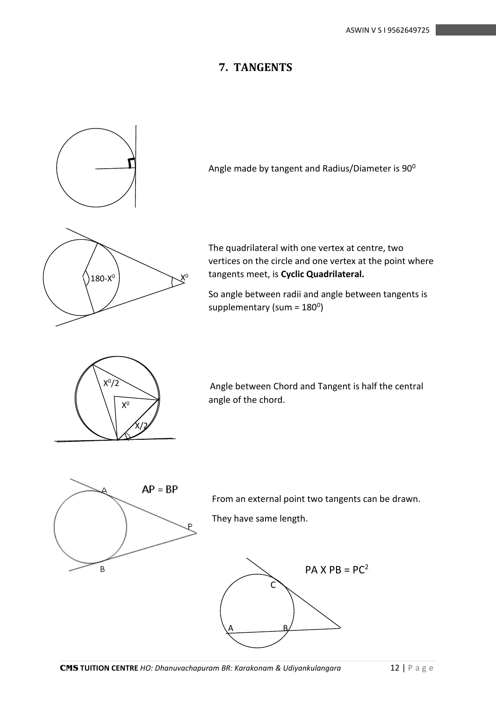## **7. TANGENTS**





From an external point two tangents can be drawn.

They have same length.

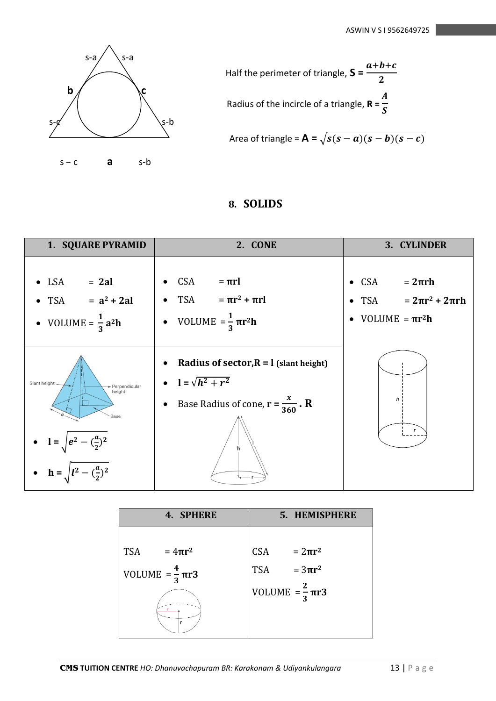

Half the perimeter of triangle, 
$$
S = \frac{a+b+c}{2}
$$
  
Radius of the incircle of a triangle,  $R = \frac{A}{S}$ 

Area of triangle = 
$$
\mathbf{A} = \sqrt{s(s-a)(s-b)(s-c)}
$$

# **8. SOLIDS**

| 1. SQUARE PYRAMID                                                                                          | 2. CONE                                                                                                                                                        | 3. CYLINDER                                                                 |  |
|------------------------------------------------------------------------------------------------------------|----------------------------------------------------------------------------------------------------------------------------------------------------------------|-----------------------------------------------------------------------------|--|
| $\bullet$ LSA = 2al<br>• TSA = $a^2 + 2al$<br>• VOLUME = $\frac{1}{3}a^2h$                                 | • $CSA = \pi r l$<br>• $TSA = \pi r^2 + \pi r l$<br>• VOLUME = $\frac{1}{3} \pi r^2 h$                                                                         | • $CSA = 2\pi rh$<br>• $TSA = 2\pi r^2 + 2\pi rh$<br>• VOLUME $= \pi r^2 h$ |  |
| Slant height-<br>- Perpendicular<br>height<br>Base<br>• $l = \sqrt{e^2 - (\frac{a}{2})^2}$<br>$h =  l^2 -$ | Radius of sector, $R = l$ (slant height)<br>$\bullet$<br>• $l = \sqrt{h^2 + r^2}$<br>Base Radius of cone, $\mathbf{r} = \frac{x}{360}$ . <b>R</b><br>$\bullet$ | h                                                                           |  |

| 4. SPHERE                     | 5. HEMISPHERE                 |
|-------------------------------|-------------------------------|
|                               |                               |
| <b>TSA</b><br>$=4\pi r^2$     | CSA<br>$=2\pi r^2$            |
| VOLUME = $\frac{4}{3} \pi r3$ | $=3\pi r^2$<br><b>TSA</b>     |
|                               | VOLUME = $\frac{2}{3} \pi r3$ |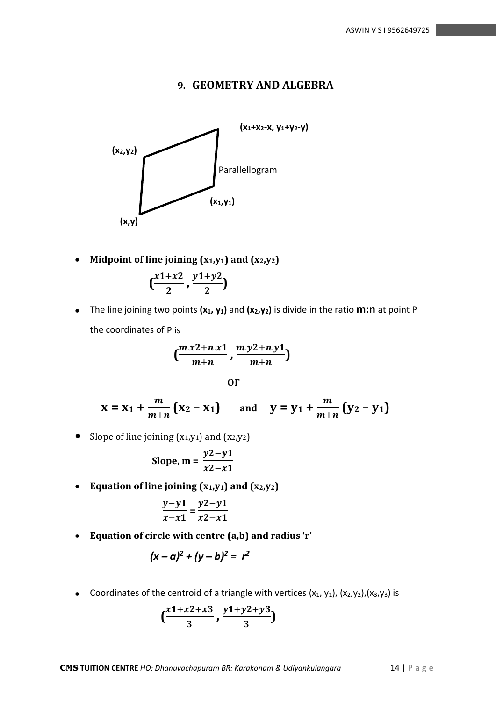### **9. GEOMETRY AND ALGEBRA**



• **Midpoint of line joining (x1,y1) and (x2,y2)**

$$
\left(\frac{x^{1+x^2}}{2},\frac{y^{1+y^2}}{2}\right)
$$

• The line joining two points **(x1, y1)** and **(x2,y2)** is divide in the ratio **m:n** at point P the coordinates of P is

$$
\left(\frac{m.x2+n.x1}{m+n}\right),\frac{m.y2+n.y1}{m+n}\right)
$$

or

$$
x = x_1 + \frac{m}{m+n} (x_2 - x_1)
$$
 and  $y = y_1 + \frac{m}{m+n} (y_2 - y_1)$ 

• Slope of line joining  $(x_1,y_1)$  and  $(x_2,y_2)$ 

Slope, m = 
$$
\frac{y2 - y1}{x2 - x1}
$$

• Equation of line joining  $(x_1, y_1)$  and  $(x_2, y_2)$ 

$$
\frac{y-y1}{x-x1} = \frac{y2-y1}{x2-x1}
$$

• **Equation of circle with centre (a,b) and radius 'r'**

$$
(x-a)^2 + (y-b)^2 = r^2
$$

• Coordinates of the centroid of a triangle with vertices  $(x_1, y_1)$ ,  $(x_2, y_2)$ ,  $(x_3, y_3)$  is

$$
\left(\frac{x1+x2+x3}{3}, \frac{y1+y2+y3}{3}\right)
$$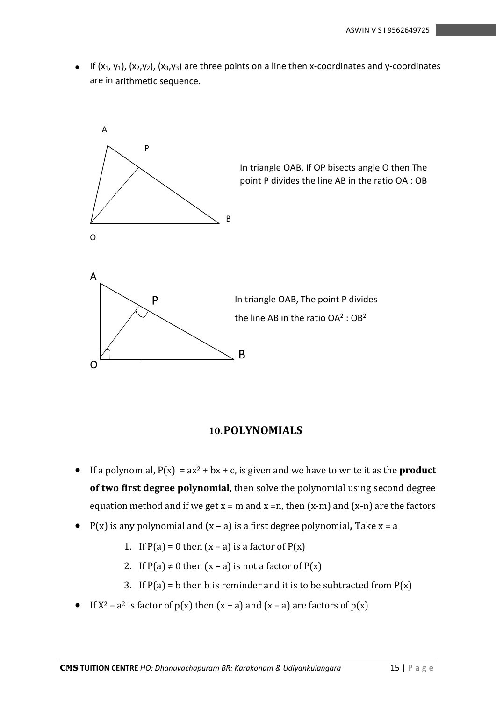• If  $(x_1, y_1)$ ,  $(x_2, y_2)$ ,  $(x_3, y_3)$  are three points on a line then x-coordinates and y-coordinates are in arithmetic sequence.



#### **10.POLYNOMIALS**

- If a polynomial,  $P(x) = ax^2 + bx + c$ , is given and we have to write it as the **product of two first degree polynomial**, then solve the polynomial using second degree equation method and if we get  $x = m$  and  $x = n$ , then  $(x-m)$  and  $(x-n)$  are the factors
- P(x) is any polynomial and (x a) is a first degree polynomial**,** Take x = a
	- 1. If  $P(a) = 0$  then  $(x a)$  is a factor of  $P(x)$
	- 2. If  $P(a) \neq 0$  then  $(x a)$  is not a factor of  $P(x)$
	- 3. If  $P(a) = b$  then b is reminder and it is to be subtracted from  $P(x)$
- If  $X^2 a^2$  is factor of  $p(x)$  then  $(x + a)$  and  $(x a)$  are factors of  $p(x)$